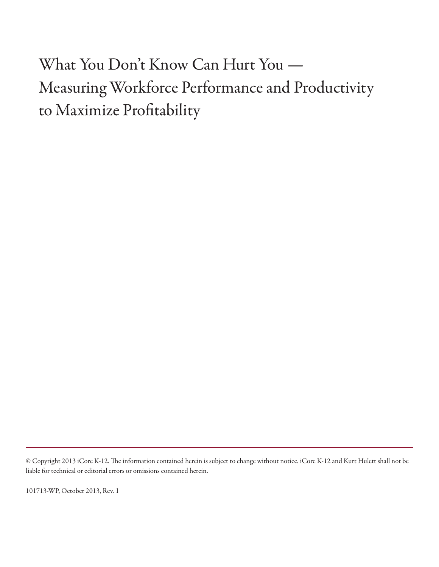What You Don't Know Can Hurt You — Measuring Workforce Performance and Productivity to Maximize Profitability

101713-WP, October 2013, Rev. 1

<sup>©</sup> Copyright 2013 iCore K-12. The information contained herein is subject to change without notice. iCore K-12 and Kurt Hulett shall not be liable for technical or editorial errors or omissions contained herein.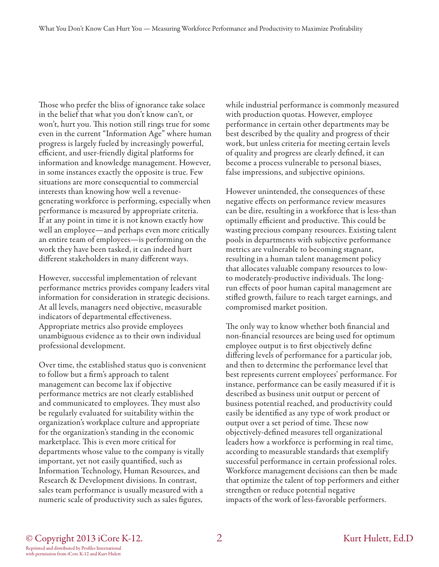Those who prefer the bliss of ignorance take solace in the belief that what you don't know can't, or won't, hurt you. This notion still rings true for some even in the current "Information Age" where human progress is largely fueled by increasingly powerful, efficient, and user-friendly digital platforms for information and knowledge management. However, in some instances exactly the opposite is true. Few situations are more consequential to commercial interests than knowing how well a revenuegenerating workforce is performing, especially when performance is measured by appropriate criteria. If at any point in time it is not known exactly how well an employee—and perhaps even more critically an entire team of employees—is performing on the work they have been tasked, it can indeed hurt different stakeholders in many different ways.

However, successful implementation of relevant performance metrics provides company leaders vital information for consideration in strategic decisions. At all levels, managers need objective, measurable indicators of departmental effectiveness. Appropriate metrics also provide employees unambiguous evidence as to their own individual professional development.

Over time, the established status quo is convenient to follow but a firm's approach to talent management can become lax if objective performance metrics are not clearly established and communicated to employees. They must also be regularly evaluated for suitability within the organization's workplace culture and appropriate for the organization's standing in the economic marketplace. This is even more critical for departments whose value to the company is vitally important, yet not easily quantified, such as Information Technology, Human Resources, and Research & Development divisions. In contrast, sales team performance is usually measured with a numeric scale of productivity such as sales figures,

while industrial performance is commonly measured with production quotas. However, employee performance in certain other departments may be best described by the quality and progress of their work, but unless criteria for meeting certain levels of quality and progress are clearly defined, it can become a process vulnerable to personal biases, false impressions, and subjective opinions.

However unintended, the consequences of these negative effects on performance review measures can be dire, resulting in a workforce that is less-than optimally efficient and productive. This could be wasting precious company resources. Existing talent pools in departments with subjective performance metrics are vulnerable to becoming stagnant, resulting in a human talent management policy that allocates valuable company resources to lowto moderately-productive individuals. The longrun effects of poor human capital management are stifled growth, failure to reach target earnings, and compromised market position.

The only way to know whether both financial and non-financial resources are being used for optimum employee output is to first objectively define differing levels of performance for a particular job, and then to determine the performance level that best represents current employees' performance. For instance, performance can be easily measured if it is described as business unit output or percent of business potential reached, and productivity could easily be identified as any type of work product or output over a set period of time. These now objectively-defined measures tell organizational leaders how a workforce is performing in real time, according to measurable standards that exemplify successful performance in certain professional roles. Workforce management decisions can then be made that optimize the talent of top performers and either strengthen or reduce potential negative impacts of the work of less-favorable performers.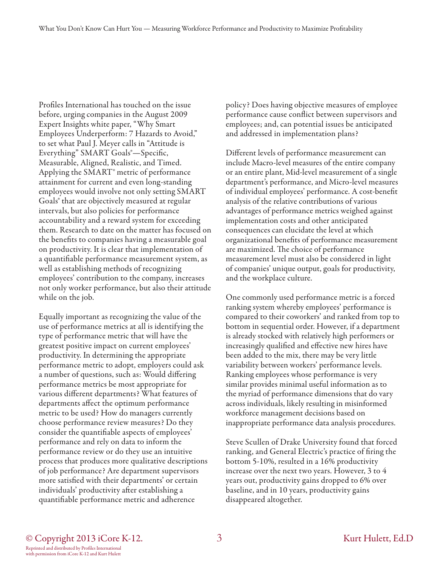Profiles International has touched on the issue before, urging companies in the August 2009 Expert Insights white paper, "Why Smart Employees Underperform: 7 Hazards to Avoid," to set what Paul J. Meyer calls in "Attitude is Everything" SMART Goals®—Specific, Measurable, Aligned, Realistic, and Timed. Applying the SMART® metric of performance attainment for current and even long-standing employees would involve not only setting SMART Goals® that are objectively measured at regular intervals, but also policies for performance accountability and a reward system for exceeding them. Research to date on the matter has focused on the benefits to companies having a measurable goal on productivity. It is clear that implementation of a quantifiable performance measurement system, as well as establishing methods of recognizing employees' contribution to the company, increases not only worker performance, but also their attitude while on the job.

Equally important as recognizing the value of the use of performance metrics at all is identifying the type of performance metric that will have the greatest positive impact on current employees' productivity. In determining the appropriate performance metric to adopt, employers could ask a number of questions, such as: Would differing performance metrics be most appropriate for various different departments? What features of departments affect the optimum performance metric to be used? How do managers currently choose performance review measures? Do they consider the quantifiable aspects of employees' performance and rely on data to inform the performance review or do they use an intuitive process that produces more qualitative descriptions of job performance? Are department supervisors more satisfied with their departments' or certain individuals' productivity after establishing a quantifiable performance metric and adherence

policy? Does having objective measures of employee performance cause conflict between supervisors and employees; and, can potential issues be anticipated and addressed in implementation plans?

Different levels of performance measurement can include Macro-level measures of the entire company or an entire plant, Mid-level measurement of a single department's performance, and Micro-level measures of individual employees' performance. A cost-benefit analysis of the relative contributions of various advantages of performance metrics weighed against implementation costs and other anticipated consequences can elucidate the level at which organizational benefits of performance measurement are maximized. The choice of performance measurement level must also be considered in light of companies' unique output, goals for productivity, and the workplace culture.

One commonly used performance metric is a forced ranking system whereby employees' performance is compared to their coworkers' and ranked from top to bottom in sequential order. However, if a department is already stocked with relatively high performers or increasingly qualified and effective new hires have been added to the mix, there may be very little variability between workers' performance levels. Ranking employees whose performance is very similar provides minimal useful information as to the myriad of performance dimensions that do vary across individuals, likely resulting in misinformed workforce management decisions based on inappropriate performance data analysis procedures.

Steve Scullen of Drake University found that forced ranking, and General Electric's practice of firing the bottom 5-10%, resulted in a 16% productivity increase over the next two years. However, 3 to 4 years out, productivity gains dropped to 6% over baseline, and in 10 years, productivity gains disappeared altogether.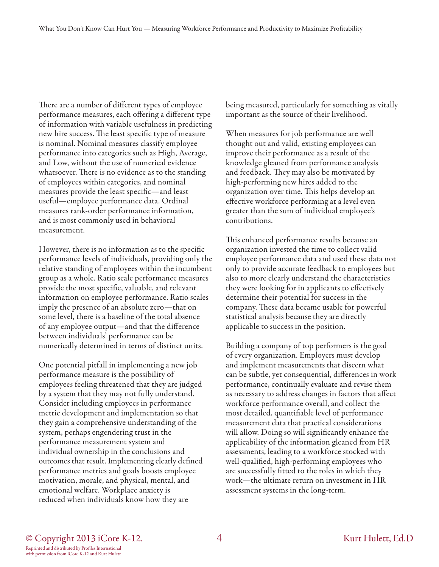There are a number of different types of employee performance measures, each offering a different type of information with variable usefulness in predicting new hire success. The least specific type of measure is nominal. Nominal measures classify employee performance into categories such as High, Average, and Low, without the use of numerical evidence whatsoever. There is no evidence as to the standing of employees within categories, and nominal measures provide the least specific—and least useful—employee performance data. Ordinal measures rank-order performance information, and is most commonly used in behavioral measurement.

However, there is no information as to the specific performance levels of individuals, providing only the relative standing of employees within the incumbent group as a whole. Ratio scale performance measures provide the most specific, valuable, and relevant information on employee performance. Ratio scales imply the presence of an absolute zero—that on some level, there is a baseline of the total absence of any employee output—and that the difference between individuals' performance can be numerically determined in terms of distinct units.

One potential pitfall in implementing a new job performance measure is the possibility of employees feeling threatened that they are judged by a system that they may not fully understand. Consider including employees in performance metric development and implementation so that they gain a comprehensive understanding of the system, perhaps engendering trust in the performance measurement system and individual ownership in the conclusions and outcomes that result. Implementing clearly defined performance metrics and goals boosts employee motivation, morale, and physical, mental, and emotional welfare. Workplace anxiety is reduced when individuals know how they are

being measured, particularly for something as vitally important as the source of their livelihood.

When measures for job performance are well thought out and valid, existing employees can improve their performance as a result of the knowledge gleaned from performance analysis and feedback. They may also be motivated by high-performing new hires added to the organization over time. This helps develop an effective workforce performing at a level even greater than the sum of individual employee's contributions.

This enhanced performance results because an organization invested the time to collect valid employee performance data and used these data not only to provide accurate feedback to employees but also to more clearly understand the characteristics they were looking for in applicants to effectively determine their potential for success in the company. These data became usable for powerful statistical analysis because they are directly applicable to success in the position.

Building a company of top performers is the goal of every organization. Employers must develop and implement measurements that discern what can be subtle, yet consequential, differences in work performance, continually evaluate and revise them as necessary to address changes in factors that affect workforce performance overall, and collect the most detailed, quantifiable level of performance measurement data that practical considerations will allow. Doing so will significantly enhance the applicability of the information gleaned from HR assessments, leading to a workforce stocked with well-qualified, high-performing employees who are successfully fitted to the roles in which they work—the ultimate return on investment in HR assessment systems in the long-term.